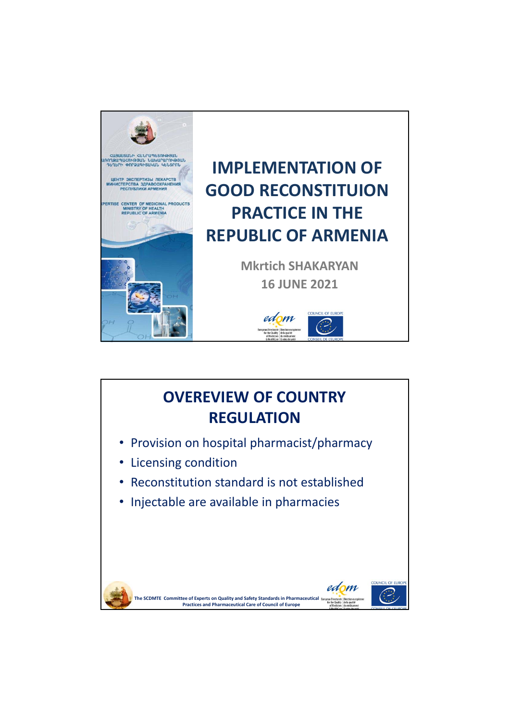

## **IMPLEMENTATION OF GOOD RECONSTITUION PRACTICE IN THE REPUBLIC OF ARMENIA**

**Mkrtich SHAKARYAN 16 JUNE 2021**



**OUNCIL OF** 

edom

## **OVEREVIEW OF COUNTRY REGULATION**

- Provision on hospital pharmacist/pharmacy
- Licensing condition
- Reconstitution standard is not established
- Injectable are available in pharmacies

**Committee of Experts on Quality and Safety Standards in Pharmaceutical The SCDMTEPractices and Pharmaceutical Care of Council of Europe**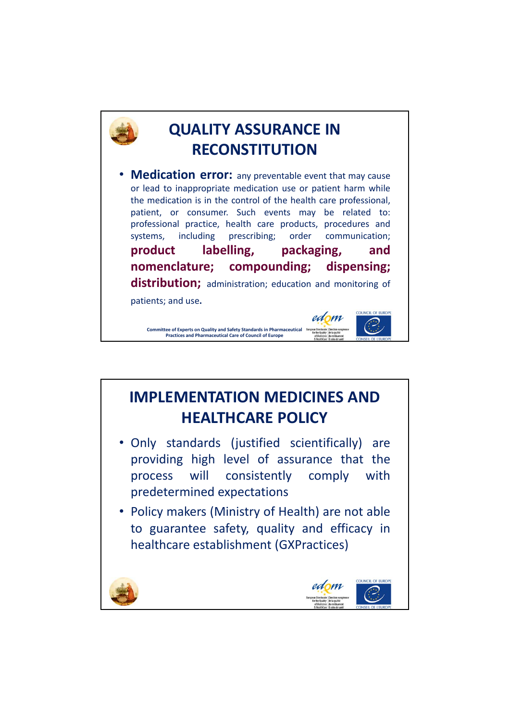

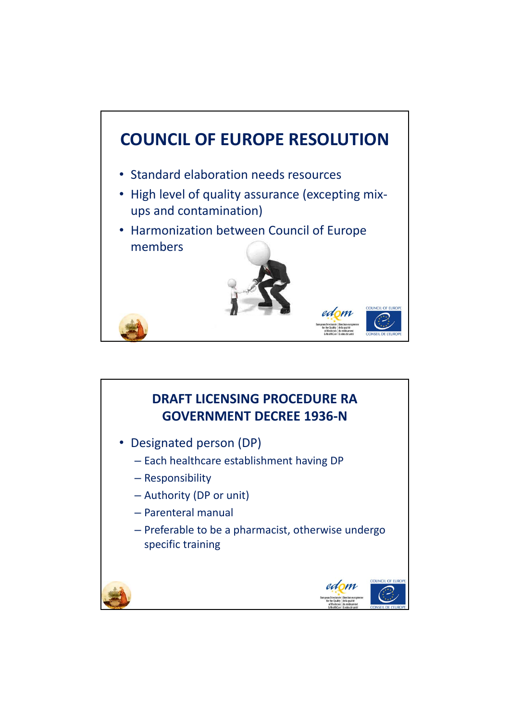